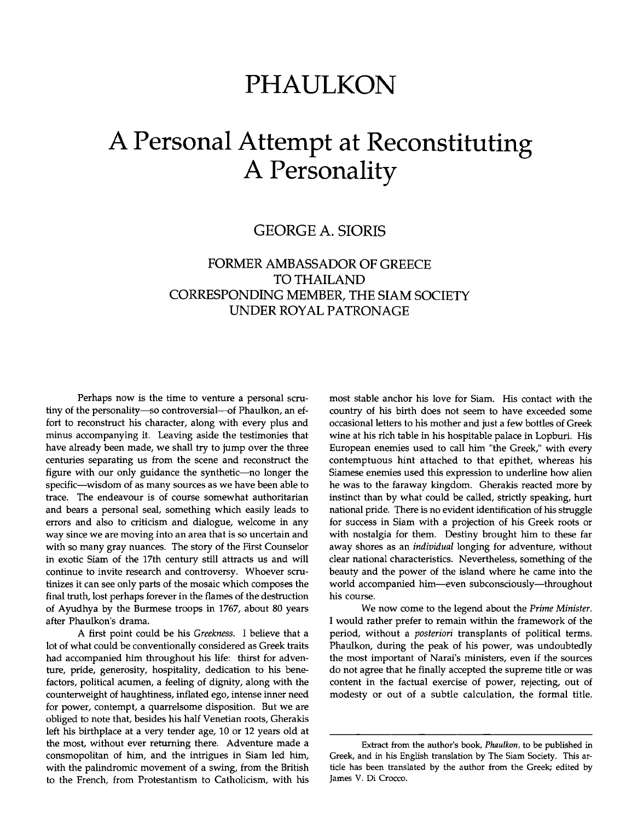## **PHAULKON**

## **A Personal Attempt at Reconstituting A Personality**

## GEORGE A. SIORIS

FORMER AMBASSADOR OF GREECE TO THAILAND CORRESPONDING MEMBER, THE SIAM SOCIETY UNDER ROYAL PATRONAGE

Perhaps now is the time to venture a personal scrutiny of the personality-so controversial-of Phaulkon, an effort to reconstruct his character, along with every plus and minus accompanying it. Leaving aside the testimonies that have already been made, we shall try to jump over the three centuries separating us from the scene and reconstruct the figure with our only guidance the synthetic-no longer the specific-wisdom of as many sources as we have been able to trace. The endeavour is of course somewhat authoritarian and bears a personal seal, something which easily leads to errors and also to criticism and dialogue, welcome in any way since we are moving into an area that is so uncertain and with so many gray nuances. The story of the First Counselor in exotic Siam of the 17th century still attracts us and will continue to invite research and controversy. Whoever scrutinizes it can see only parts of the mosaic which composes the final truth, lost perhaps forever in the flames of the destruction of Ayudhya by the Burmese troops in 1767, about 80 years after Phaulkon's drama.

A first point could be his *Greekness.* I believe that a lot of what could be conventionally considered as Greek traits had accompanied him throughout his life: thirst for adventure, pride, generosity, hospitality, dedication to his benefactors, political acumen, a feeling of dignity, along with the counterweight of haughtiness, inflated ego, intense inner need for power, contempt, a quarrelsome disposition. But we are obliged to note that, besides his half Venetian roots, Gherakis left his birthplace at a very tender age, 10 or 12 years old at the most, without ever returning there. Adventure made a consmopolitan of him, and the intrigues in Siam led him, with the palindromic movement of a swing, from the British to the French, from Protestantism to Catholicism, with his

most stable anchor his love for Siam. His contact with the country of his birth does not seem to have exceeded some occasional letters to his mother and just a few bottles of Greek wine at his rich table in his hospitable palace in Lopburi. His European enemies used to call him "the Greek," with every contemptuous hint attached to that epithet, whereas his Siamese enemies used this expression to underline how alien he was to the faraway kingdom. Gherakis reacted more by instinct than by what could be called, strictly speaking, hurt national pride. There is no evident identification of his struggle for success in Siam with a projection of his Greek roots or with nostalgia for them. Destiny brought him to these far away shores as an *individual* longing for adventure, without clear national characteristics. Nevertheless, something of the beauty and the power of the island where he came into the world accompanied him-even subconsciously-throughout his course.

We now come to the legend about the *Prime Minister.*  I would rather prefer to remain within the framework of the period, without a *posteriori* transplants of political terms. Phaulkon, during the peak of his power, was undoubtedly the most important of Narai's ministers, even if the sources do not agree that he finally accepted the supreme title or was content in the factual exercise of power, rejecting, out of modesty or out of a subtle calculation, the formal title.

Extract from the author's book, *Phaulkon,* to be published in Greek, and in his English translation by The Siam Society. This article has been translated by the author from the Greek; edited by James V. Di Crocco.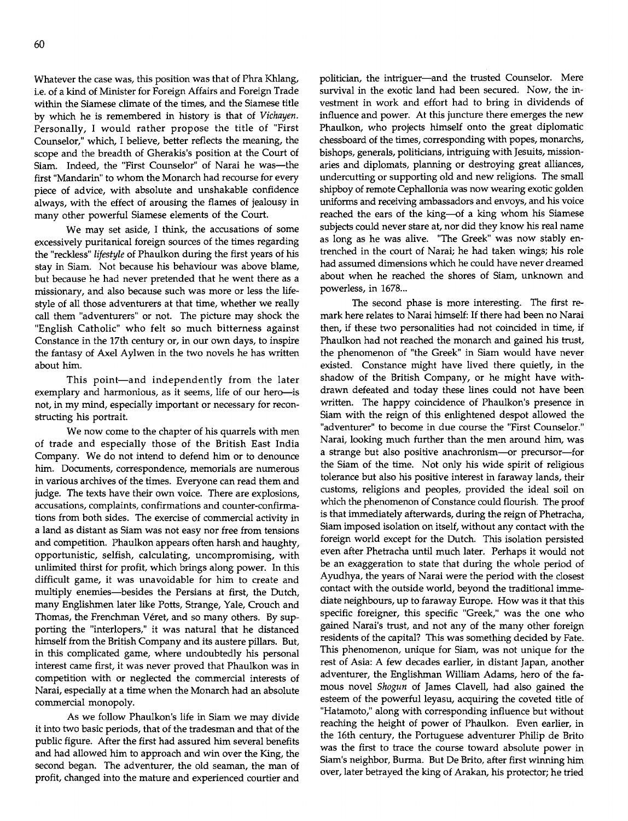Whatever the case was, this position was that of Phra Khlang, i.e. of a kind of Minister for Foreign Affairs and Foreign Trade within the Siamese climate of the times, and the Siamese title by which he is remembered in history is that of *Vichnyen.*  Personally, I would rather propose the title of "First Counselor," which, I believe, better reflects the meaning, the scope and the breadth of Gherakis's position at the Court of Siam. Indeed, the "First Counselor" of Narai he was-the first "Mandarin" to whom the Monarch had recourse for every piece of advice, with absolute and unshakable confidence always, with the effect of arousing the flames of jealousy in many other powerful Siamese elements of the Court.

We may set aside, I think, the accusations of some excessively puritanical foreign sources of the times regarding the "reckless" *lifestyle* of Phaulkon during the first years of his stay in Siam. Not because his behaviour was above blame, but because he had never pretended that he went there as a missionary, and also because such was more or less the lifestyle of all those adventurers at that time, whether we really call them "adventurers" or not. The picture may shock the "English Catholic" who felt so much bitterness against Constance in the 17th century or, in our own days, to inspire the fantasy of Axel Aylwen in the two novels he has written about him.

This point-and independently from the later exemplary and harmonious, as it seems, life of our hero-is not, in my mind, especially important or necessary for reconstructing his portrait.

We now come to the chapter of his quarrels with men of trade and especially those of the British East India Company. We do not intend to defend him or to denounce him. Documents, correspondence, memorials are numerous in various archives of the times. Everyone can read them and judge. The texts have their own voice. There are explosions, accusations, complaints, confirmations and counter-confirmations from both sides. The exercise of commercial activity in a land as distant as Siam was not easy nor free from tensions and competition. Phaulkon appears often harsh and haughty, opportunistic, selfish, calculating, uncompromising, with unlimited thirst for profit, which brings along power. In this difficult game, it was unavoidable for him to create and multiply enemies-besides the Persians at first, the Dutch, many Englishmen later like Potts, Strange, Yale, Crouch and Thomas, the Frenchman Véret, and so many others. By supporting the "interlopers," it was natural that he distanced himself from the British Company and its austere pillars. But, in this complicated game, where undoubtedly his personal interest came first, it was never proved that Phaulkon was in competition with or neglected the commercial interests of Narai, especially at a time when the Monarch had an absolute commercial monopoly.

As we follow Phaulkon's life in Siam we may divide it into two basic periods, that of the tradesman and that of the public figure. After the first had assured him several benefits and had allowed him to approach and win over the King, the second began. The adventurer, the old seaman, the man of profit, changed into the mature and experienced courtier and

politician, the intriguer-and the trusted Counselor. Mere survival in the exotic land had been secured. Now, the investment in work and effort had to bring in dividends of influence and power. At this juncture there emerges the new Phaulkon, who projects himself onto the great diplomatic chessboard of the times, corresponding with popes, monarchs, bishops, generals, politicians, intriguing with Jesuits, missionaries and diplomats, planning or destroying great alliances, undercutting or supporting old and new religions. The small shipboy of remote Cephallonia was now wearing exotic golden uniforms and receiving ambassadors and envoys, and his voice reached the ears of the king-of a king whom his Siamese subjects could never stare at, nor did they know his real name as long as he was alive. "The Greek" was now stably entrenched in the court of Narai; he had taken wings; his role had assumed dimensions which he could have never dreamed about when he reached the shores of Siam, unknown and powerless, in 1678...

The second phase is more interesting. The first remark here relates to Narai himself: If there had been no Narai then, if these two personalities had not coincided in time, if Phaulkon had not reached the monarch and gained his trust, the phenomenon of "the Greek" in Siam would have never existed. Constance might have lived there quietly, in the shadow of the British Company, or he might have withdrawn defeated and today these lines could not have been written. The happy coincidence of Phaulkon's presence in Siam with the reign of this enlightened despot allowed the "adventurer" to become in due course the "First Counselor." Narai, looking much further than the men around him, was a strange but also positive anachronism-or precursor-for the Siam of the time. Not only his wide spirit of religious tolerance but also his positive interest in faraway lands, their customs, religions and peoples, provided the ideal soil on which the phenomenon of Constance could flourish. The proof is that immediately afterwards, during the reign of Phetracha, Siam imposed isolation on itself, without any contact with the foreign world except for the Dutch. This isolation persisted even after Phetracha until much later. Perhaps it would not be an exaggeration to state that during the whole period of Ayudhya, the years of Narai were the period with the closest contact with the outside world, beyond the traditional immediate neighbours, up to faraway Europe. How was it that this specific foreigner, this specific "Greek," was the one who gained Narai's trust, and not any of the many other foreign residents of the capital? This was something decided by Fate. This phenomenon, unique for Siam, was not unique for the rest of Asia: A few decades earlier, in distant Japan, another adventurer, the Englishman William Adams, hero of the famous novel *Shogun* of James Clavell, had also gained the esteem of the powerful leyasu, acquiring the coveted title of "Hatamoto," along with corresponding influence but without reaching the height of power of Phaulkon. Even earlier, in the 16th century, the Portuguese adventurer Philip de Brito was the first to trace the course toward absolute power in Siam's neighbor, Burma. But De Brito, after first winning him over, later betrayed the king of Arakan, his protector; he tried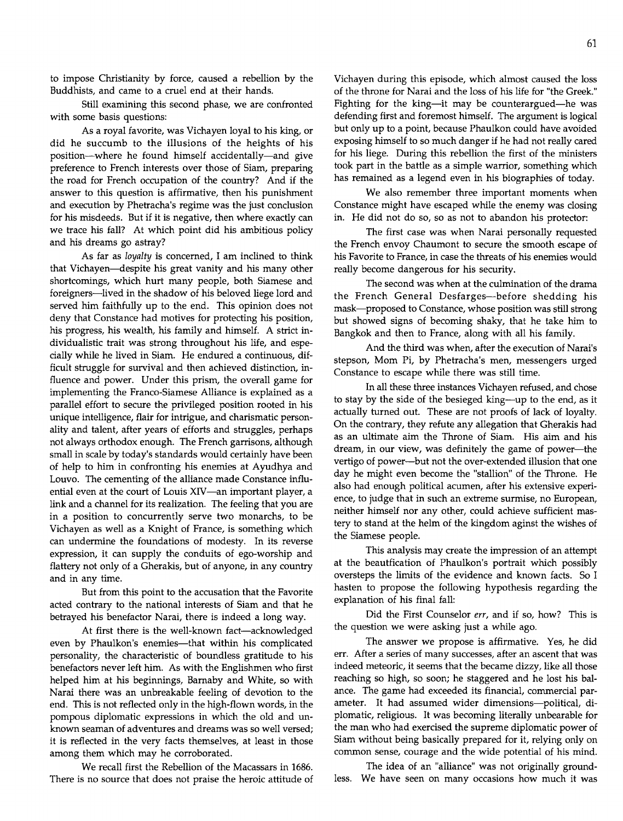to impose Christianity by force, caused a rebellion by the Buddhists, and came to a cruel end at their hands.

Still examining this second phase, we are confronted with some basis questions:

As a royal favorite, was Vichayen loyal to his king, or did he succumb to the illusions of the heights of his position-where he found himself accidentally-and give preference to French interests over those of Siam, preparing the road for French occupation of the country? And if the answer to this question is affirmative, then his punishment and execution by Phetracha's regime was the just conclusion for his misdeeds. But if it is negative, then where exactly can we trace his fall? At which point did his ambitious policy and his dreams go astray?

As far as loyalty is concerned, I am inclined to think that Vichayen-despite his great vanity and his many other shortcomings, which hurt many people, both Siamese and foreigners-lived in the shadow of his beloved liege lord and served him faithfully up to the end. This opinion does not deny that Constance had motives for protecting his position, his progress, his wealth, his family and himself. A strict individualistic trait was strong throughout his life, and especially while he lived in Siam. He endured a continuous, difficult struggle for survival and then achieved distinction, influence and power. Under this prism, the overall game for implementing the Franco-Siamese Alliance is explained as a parallel effort to secure the privileged position rooted in his unique intelligence, flair for intrigue, and charismatic personality and talent, after years of efforts and struggles, perhaps not always orthodox enough. The French garrisons, although small in scale by today's standards would certainly have been of help to him in confronting his enemies at Ayudhya and Louvo. The cementing of the alliance made Constance influential even at the court of Louis XIV-an important player, a link and a channel for its realization. The feeling that you are in a position to concurrently serve two monarchs, to be Vichayen as well as a Knight of France, is something which can undermine the foundations of modesty. In its reverse expression, it can supply the conduits of ego-worship and flattery not only of a Gherakis, but of anyone, in any country and in any time.

But from this point to the accusation that the Favorite acted contrary to the national interests of Siam and that he betrayed his benefactor Narai, there is indeed a long way.

At first there is the well-known fact-acknowledged even by Phaulkon's enemies-that within his complicated personality, the characteristic of boundless gratitude to his benefactors never left him. As with the Englishmen who first helped him at his beginnings, Barnaby and White, so with Narai there was an unbreakable feeling of devotion to the end. This is not reflected only in the high-flown words, in the pompous diplomatic expressions in which the old and unknown seaman of adventures and dreams was so well versed; it is reflected in the very facts themselves, at least in those among them which may he corroborated.

We recall first the Rebellion of the Macassars in 1686. There is no source that does not praise the heroic attitude of Vichayen during this episode, which almost caused the loss of the throne for Narai and the loss of his life for "the Greek." Fighting for the king-it may be counterargued-he was defending first and foremost himself. The argument is logical but only up to a point, because Phaulkon could have avoided exposing himself to so much danger if he had not really cared for his liege. During this rebellion the first of the ministers took part in the battle as a simple warrior, something which has remained as a legend even in his biographies of today.

We also remember three important moments when Constance might have escaped while the enemy was closing in. He did not do so, so as not to abandon his protector:

The first case was when Narai personally requested the French envoy Chaumont to secure the smooth escape of his Favorite to France, in case the threats of his enemies would really become dangerous for his security.

The second was when at the culmination of the drama the French General Desfarges-before shedding his mask-proposed to Constance, whose position was still strong but showed signs of becoming shaky, that he take him to Bangkok and then to France, along with all his family.

And the third was when, after the execution of Narai's stepson, Mom Pi, by Phetracha's men, messengers urged Constance to escape while there was still time.

In all these three instances Vichayen refused, and chose to stay by the side of the besieged king-up to the end, as it actually turned out. These are not proofs of lack of loyalty. On the contrary, they refute any allegation that Gherakis had as an ultimate aim the Throne of Siam. His aim and his dream, in our view, was definitely the game of power-the vertigo of power-but not the over-extended illusion that one day he might even become the "stallion" of the Throne. He also had enough political acumen, after his extensive experience, to judge that in such an extreme surmise, no European, neither himself nor any other, could achieve sufficient mastery to stand at the helm of the kingdom aginst the wishes of the Siamese people.

This analysis may create the impression of an attempt at the beautfication of Phaulkon's portrait which possibly oversteps the limits of the evidence and known facts. So I hasten to propose the following hypothesis regarding the explanation of his final fall:

Did the First Counselor *err,* and if so, how? This is the question we were asking just a while ago.

The answer we propose is affirmative. Yes, he did err. After a series of many successes, after an ascent that was indeed meteoric, it seems that the became dizzy, like all those reaching so high, so soon; he staggered and he lost his balance. The game had exceeded its financial, commercial parameter. It had assumed wider dimensions-political, diplomatic, religious. It was becoming literally unbearable for the man who had exercised the supreme diplomatic power of Siam without being basically prepared for it, relying only on common sense, courage and the wide potential of his mind.

The idea of an "alliance" was not originally groundless. We have seen on many occasions how much it was